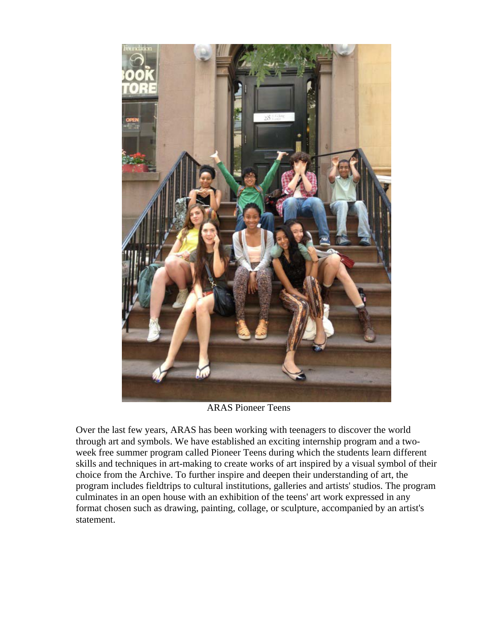

ARAS Pioneer Teens

Over the last few years, ARAS has been working with teenagers to discover the world through art and symbols. We have established an exciting internship program and a twoweek free summer program called Pioneer Teens during which the students learn different skills and techniques in art-making to create works of art inspired by a visual symbol of their choice from the Archive. To further inspire and deepen their understanding of art, the program includes fieldtrips to cultural institutions, galleries and artists' studios. The program culminates in an open house with an exhibition of the teens' art work expressed in any format chosen such as drawing, painting, collage, or sculpture, accompanied by an artist's statement.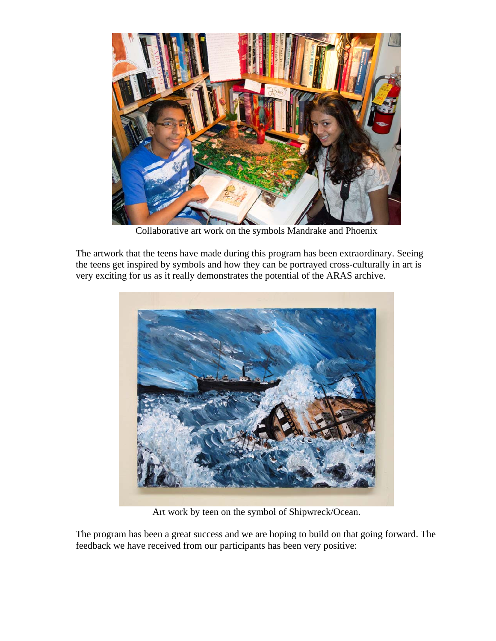

Collaborative art work on the symbols Mandrake and Phoenix

The artwork that the teens have made during this program has been extraordinary. Seeing the teens get inspired by symbols and how they can be portrayed cross-culturally in art is very exciting for us as it really demonstrates the potential of the ARAS archive.



Art work by teen on the symbol of Shipwreck/Ocean.

The program has been a great success and we are hoping to build on that going forward. The feedback we have received from our participants has been very positive: